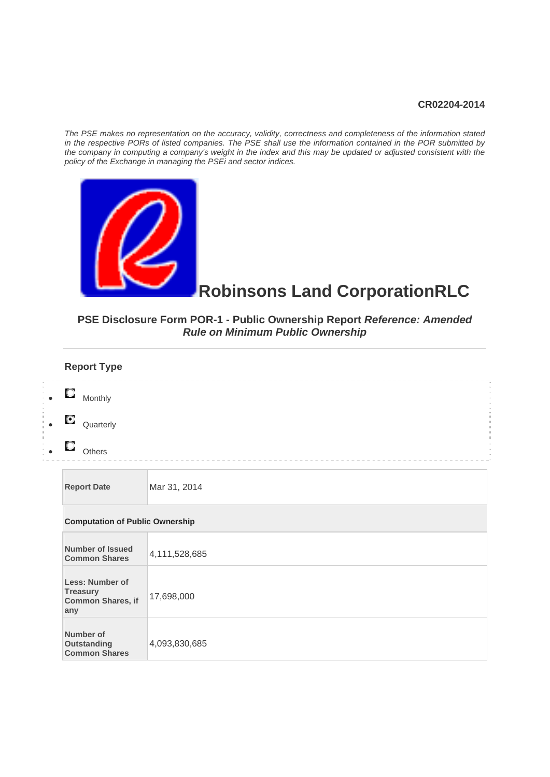#### **CR02204-2014**

*The PSE makes no representation on the accuracy, validity, correctness and completeness of the information stated in the respective PORs of listed companies. The PSE shall use the information contained in the POR submitted by the company in computing a company's weight in the index and this may be updated or adjusted consistent with the policy of the Exchange in managing the PSEi and sector indices.* 



**Outstanding Common Shares**  4,093,830,685

# **Robinsons Land CorporationRLC**

## **PSE Disclosure Form POR-1 - Public Ownership Report** *Reference: Amended Rule on Minimum Public Ownership*

| <b>Report Type</b>                                             |               |
|----------------------------------------------------------------|---------------|
| О<br>Monthly                                                   |               |
| О<br>Quarterly                                                 |               |
| O<br>Others                                                    |               |
| <b>Report Date</b>                                             | Mar 31, 2014  |
| <b>Computation of Public Ownership</b>                         |               |
| <b>Number of Issued</b><br><b>Common Shares</b>                | 4,111,528,685 |
| Less: Number of<br><b>Treasury</b><br>Common Shares, if<br>any | 17,698,000    |
| Number of                                                      |               |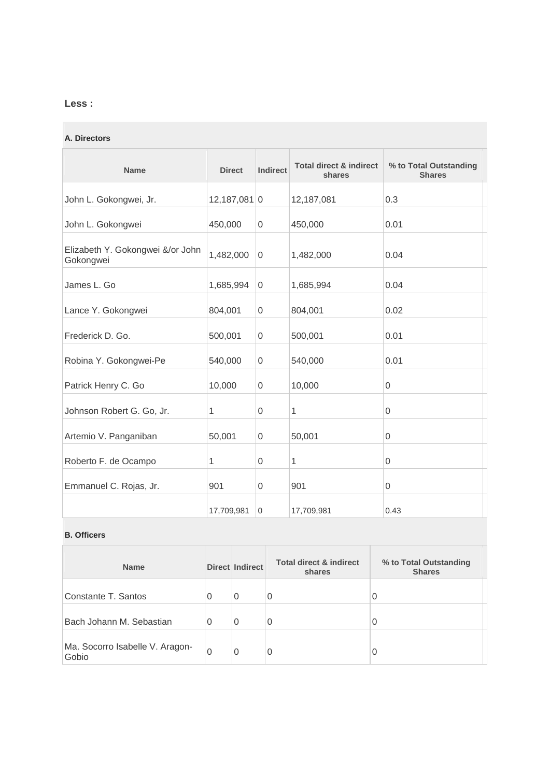## **Less :**

#### **A. Directors**

| <b>Name</b>                                   | <b>Direct</b>  | <b>Indirect</b> | <b>Total direct &amp; indirect</b><br>shares | % to Total Outstanding<br><b>Shares</b> |
|-----------------------------------------------|----------------|-----------------|----------------------------------------------|-----------------------------------------|
| John L. Gokongwei, Jr.                        | $12,187,081$ 0 |                 | 12,187,081                                   | 0.3                                     |
| John L. Gokongwei                             | 450,000        | $\overline{0}$  | 450,000                                      | 0.01                                    |
| Elizabeth Y. Gokongwei &/or John<br>Gokongwei | 1,482,000      | $\Omega$        | 1,482,000                                    | 0.04                                    |
| James L. Go                                   | 1,685,994      | 0               | 1,685,994                                    | 0.04                                    |
| Lance Y. Gokongwei                            | 804,001        | $\overline{0}$  | 804,001                                      | 0.02                                    |
| Frederick D. Go.                              | 500,001        | 0               | 500,001                                      | 0.01                                    |
| Robina Y. Gokongwei-Pe                        | 540,000        | $\mathbf 0$     | 540,000                                      | 0.01                                    |
| Patrick Henry C. Go                           | 10,000         | $\mathbf 0$     | 10,000                                       | 0                                       |
| Johnson Robert G. Go, Jr.                     | 1              | $\mathbf 0$     | 1                                            | 0                                       |
| Artemio V. Panganiban                         | 50,001         | $\overline{0}$  | 50,001                                       | $\mathbf{0}$                            |
| Roberto F. de Ocampo                          | 1              | $\Omega$        | 1                                            | $\mathbf{0}$                            |
| Emmanuel C. Rojas, Jr.                        | 901            | $\overline{0}$  | 901                                          | $\mathbf{0}$                            |
|                                               | 17,709,981     | $\overline{0}$  | 17,709,981                                   | 0.43                                    |

#### **B. Officers**

| <b>Name</b>                              |          | <b>Direct Indirect</b> | <b>Total direct &amp; indirect</b><br>shares | % to Total Outstanding<br><b>Shares</b> |
|------------------------------------------|----------|------------------------|----------------------------------------------|-----------------------------------------|
| Constante T. Santos                      | 0        | 0                      | 0                                            | 0                                       |
| Bach Johann M. Sebastian                 | $\Omega$ | 0                      | 0                                            | 0                                       |
| Ma. Socorro Isabelle V. Aragon-<br>Gobio | $\Omega$ | 0                      | 0                                            | 0                                       |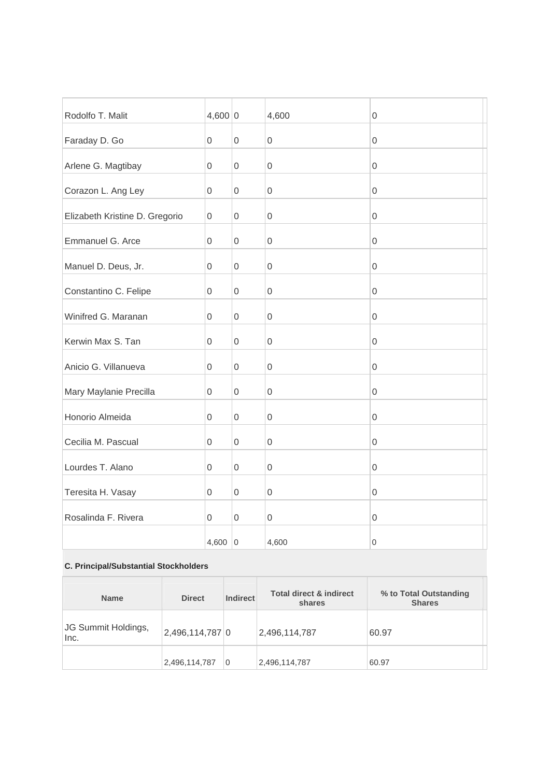| Rodolfo T. Malit               | 4,600 0     |                     | 4,600            | 0                   |
|--------------------------------|-------------|---------------------|------------------|---------------------|
| Faraday D. Go                  | 0           | $\mathbf 0$         | $\mathbf 0$      | 0                   |
| Arlene G. Magtibay             | 0           | $\mathsf{O}\xspace$ | $\boldsymbol{0}$ | 0                   |
| Corazon L. Ang Ley             | 0           | $\mathbf{0}$        | $\boldsymbol{0}$ | 0                   |
| Elizabeth Kristine D. Gregorio | $\mathbf 0$ | $\mathbf 0$         | $\mathbf 0$      | $\mathbf 0$         |
| Emmanuel G. Arce               | 0           | 0                   | $\mathbf 0$      | 0                   |
| Manuel D. Deus, Jr.            | 0           | 0                   | $\boldsymbol{0}$ | 0                   |
| Constantino C. Felipe          | $\mathbf 0$ | $\mathbf 0$         | $\mathbf 0$      | $\mathsf 0$         |
| Winifred G. Maranan            | $\mathsf 0$ | $\mathsf{O}\xspace$ | $\mathbf 0$      | $\mathsf 0$         |
| Kerwin Max S. Tan              | 0           | $\mathsf 0$         | $\boldsymbol{0}$ | 0                   |
| Anicio G. Villanueva           | $\mathbf 0$ | $\mathbf 0$         | $\mathbf 0$      | $\mathsf 0$         |
| Mary Maylanie Precilla         | 0           | $\mathsf 0$         | $\mathbf 0$      | $\mathsf 0$         |
| Honorio Almeida                | 0           | $\mathsf{O}\xspace$ | $\mathbf 0$      | $\mathsf{O}\xspace$ |
| Cecilia M. Pascual             | 0           | $\mathbf 0$         | $\mathbf 0$      | $\mathbf 0$         |
| Lourdes T. Alano               | 0           | $\mathsf 0$         | $\mathbf 0$      | $\mathsf 0$         |
| Teresita H. Vasay              | 0           | $\overline{0}$      | $\mathbf 0$      | 0                   |
| Rosalinda F. Rivera            | 0           | $\mathbf 0$         | $\mathbf 0$      | $\mathsf 0$         |
|                                | 4,600   $0$ |                     | 4,600            | 0                   |

### **C. Principal/Substantial Stockholders**

| <b>Name</b>                 | <b>Direct</b>   | <b>Indirect</b> | <b>Total direct &amp; indirect</b><br>shares | % to Total Outstanding<br><b>Shares</b> |
|-----------------------------|-----------------|-----------------|----------------------------------------------|-----------------------------------------|
| JG Summit Holdings,<br>Inc. | 2,496,114,787 0 |                 | 2,496,114,787                                | 60.97                                   |
|                             | 2,496,114,787   | 0               | 2,496,114,787                                | 60.97                                   |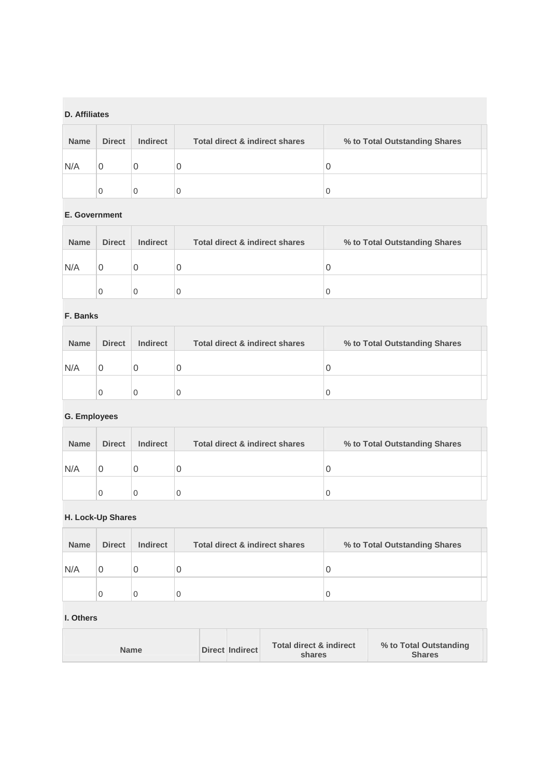## **D. Affiliates**

| <b>Name</b> | <b>Direct</b> | <b>Indirect</b> | <b>Total direct &amp; indirect shares</b> | % to Total Outstanding Shares |  |
|-------------|---------------|-----------------|-------------------------------------------|-------------------------------|--|
| N/A         | 0             |                 | U                                         |                               |  |
|             | 0             |                 | U                                         |                               |  |

#### **E. Government**

| <b>Name</b> | <b>Direct</b> | <b>Indirect</b> | Total direct & indirect shares | % to Total Outstanding Shares |
|-------------|---------------|-----------------|--------------------------------|-------------------------------|
| N/A         | 0             |                 | U                              |                               |
|             | 0             |                 | 0                              |                               |

## **F. Banks**

| <b>Name</b> | <b>Direct</b> | <b>Indirect</b> | Total direct & indirect shares | % to Total Outstanding Shares |
|-------------|---------------|-----------------|--------------------------------|-------------------------------|
| N/A         | 0             |                 | U                              |                               |
|             | 0             |                 |                                | U                             |

## **G. Employees**

| <b>Name</b> | <b>Direct</b> | <b>Indirect</b> | Total direct & indirect shares | % to Total Outstanding Shares |  |
|-------------|---------------|-----------------|--------------------------------|-------------------------------|--|
| N/A         |               |                 | U                              |                               |  |
|             | 0             |                 |                                |                               |  |

## **H. Lock-Up Shares**

| <b>Name</b> | <b>Direct</b> | <b>Indirect</b> | Total direct & indirect shares | % to Total Outstanding Shares |  |
|-------------|---------------|-----------------|--------------------------------|-------------------------------|--|
| N/A         |               |                 | O                              |                               |  |
|             | 0             |                 |                                |                               |  |

#### **I. Others**

H

|--|